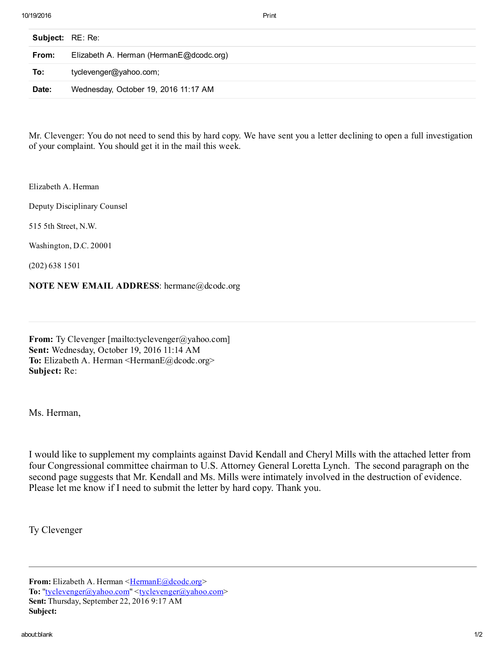10/19/2016 Print

| <b>Subject:</b> RE: Re: |                                         |
|-------------------------|-----------------------------------------|
| From:                   | Elizabeth A. Herman (HermanE@dcodc.org) |
| To:                     | tyclevenger@yahoo.com;                  |
| Date:                   | Wednesday, October 19, 2016 11:17 AM    |

Mr. Clevenger: You do not need to send this by hard copy. We have sent you a letter declining to open a full investigation of your complaint. You should get it in the mail this week.

Elizabeth A. Herman

Deputy Disciplinary Counsel

515 5th Street, N.W.

Washington, D.C. 20001

(202) 638 1501

## NOTE NEW EMAIL ADDRESS: hermane@dcodc.org

From: Ty Clevenger [mailto:tyclevenger@yahoo.com] Sent: Wednesday, October 19, 2016 11:14 AM To: Elizabeth A. Herman <HermanE@dcodc.org> Subject: Re:

Ms. Herman,

I would like to supplement my complaints against David Kendall and Cheryl Mills with the attached letter from four Congressional committee chairman to U.S. Attorney General Loretta Lynch. The second paragraph on the second page suggests that Mr. Kendall and Ms. Mills were intimately involved in the destruction of evidence. Please let me know if I need to submit the letter by hard copy. Thank you.

Ty Clevenger

From: Elizabeth A. Herman <[HermanE@dcodc.org>](mailto:HermanE@dcodc.org) To: ["tyclevenger@yahoo.com](mailto:tyclevenger@yahoo.com)" <[tyclevenger@yahoo.com>](mailto:tyclevenger@yahoo.com) Sent: Thursday, September 22, 2016 9:17 AM Subject: